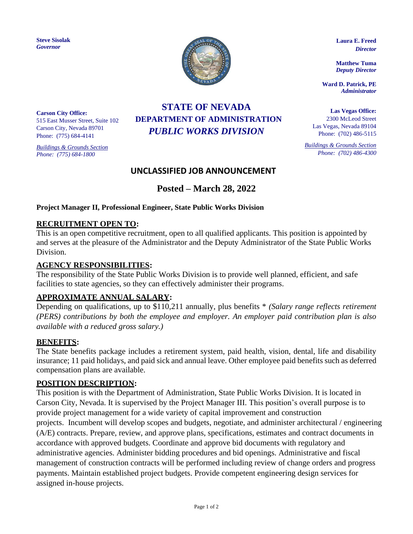**Steve Sisolak** *Governor*



**Laura E. Freed**  *Director*

**Matthew Tuma** *Deputy Director*

**Ward D. Patrick, PE** *Administrator*

**Las Vegas Office:** 2300 McLeod Street Las Vegas, Nevada 89104 Phone: (702) 486-5115

*Buildings & Grounds Section Phone: (702) 486-4300*

**Carson City Office:** 515 East Musser Street, Suite 102 Carson City, Nevada 89701 Phone: (775) 684-4141

*Buildings & Grounds Section Phone: (775) 684-1800*

# **STATE OF NEVADA DEPARTMENT OF ADMINISTRATION** *PUBLIC WORKS DIVISION*

# **UNCLASSIFIED JOB ANNOUNCEMENT**

# **Posted – March 28, 2022**

#### **Project Manager II, Professional Engineer, State Public Works Division**

#### **RECRUITMENT OPEN TO:**

This is an open competitive recruitment, open to all qualified applicants. This position is appointed by and serves at the pleasure of the Administrator and the Deputy Administrator of the State Public Works Division.

#### **AGENCY RESPONSIBILITIES:**

The responsibility of the State Public Works Division is to provide well planned, efficient, and safe facilities to state agencies, so they can effectively administer their programs.

## **APPROXIMATE ANNUAL SALARY:**

Depending on qualifications, up to \$110,211 annually, plus benefits \* *(Salary range reflects retirement (PERS) contributions by both the employee and employer. An employer paid contribution plan is also available with a reduced gross salary.)*

#### **BENEFITS:**

The State benefits package includes a retirement system, paid health, vision, dental, life and disability insurance; 11 paid holidays, and paid sick and annual leave. Other employee paid benefits such as deferred compensation plans are available.

#### **POSITION DESCRIPTION:**

This position is with the Department of Administration, State Public Works Division. It is located in Carson City, Nevada. It is supervised by the Project Manager III. This position's overall purpose is to provide project management for a wide variety of capital improvement and construction projects. Incumbent will develop scopes and budgets, negotiate, and administer architectural / engineering (A/E) contracts. Prepare, review, and approve plans, specifications, estimates and contract documents in accordance with approved budgets. Coordinate and approve bid documents with regulatory and administrative agencies. Administer bidding procedures and bid openings. Administrative and fiscal management of construction contracts will be performed including review of change orders and progress payments. Maintain established project budgets. Provide competent engineering design services for assigned in-house projects.